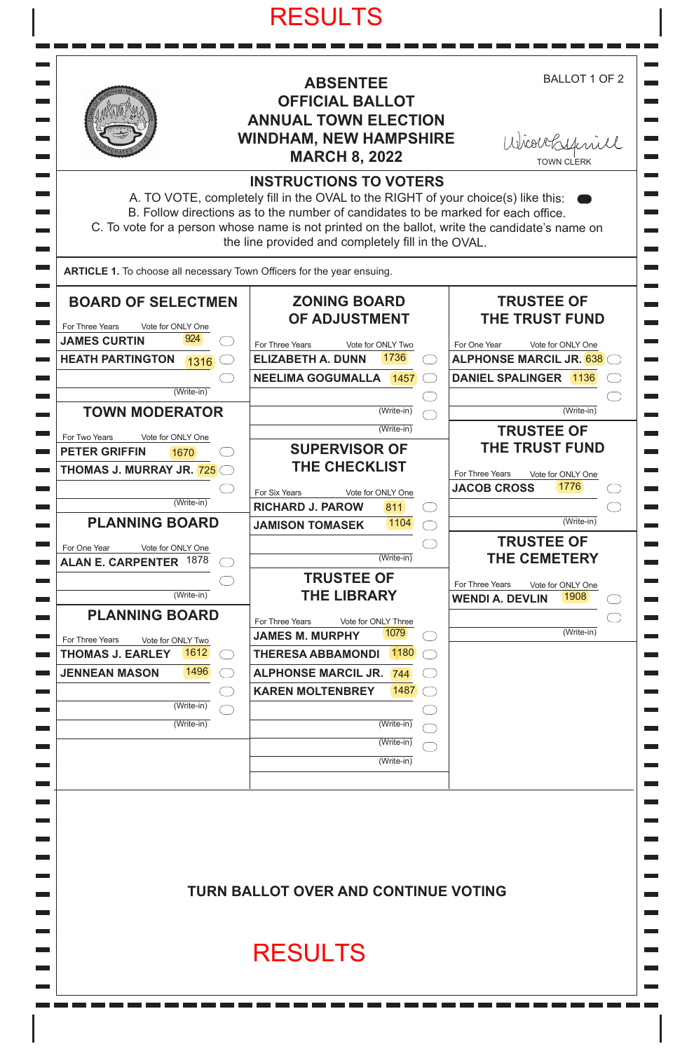# RESULTS



m.

 $\mathcal{L}_{\text{max}}$ 

 $\overline{\phantom{0}}$ 

**Contract** 

## **ABSENTEE OFFICIAL BALLOT ANNUAL TOWN ELECTION WINDHAM, NEW HAMPSHIRE MARCH 8, 2022**

BALLOT 1 OF 2

 $\mathbf{r}$ 

 $\mathbf{r}$ 

٠  $\overline{\phantom{0}}$ 

 $\overline{\phantom{0}}$ an di

 $\mathcal{L}_{\text{max}}$ 

 $\overline{\phantom{0}}$  $\overline{\phantom{0}}$ 

 $\overline{\phantom{0}}$ 

 $\blacksquare$  $\mathcal{L}_{\mathcal{A}}$  $\sim$  $\overline{\phantom{0}}$ 

 $\overline{\phantom{a}}$  $\overline{\phantom{0}}$  $\overline{\phantom{0}}$  $\overline{\phantom{0}}$  $\overline{\phantom{a}}$  $\mathcal{L}_{\mathcal{A}}$  $\equiv$  $\overline{\phantom{a}}$ 

**College** 

 $\overline{\phantom{a}}$ 

 $\overline{\phantom{0}}$ 

 $\overline{\phantom{0}}$  $\blacksquare$ 

 $\overline{\phantom{a}}$  $\overline{\phantom{0}}$ 

 $\overline{\phantom{0}}$  $\overline{\phantom{0}}$  $\blacksquare$ 

 $\overline{\phantom{0}}$ 

 $\overline{\phantom{0}}$ 

 $\sim$ 

 $\overline{\phantom{0}}$ 

 $\overline{\phantom{a}}$ 

 $\mathcal{L}$ 

٠

| Wicourtsfinill |  |
|----------------|--|
| TAIMI ALEDIZ   |  |

|                                                                                                                                    | <b>WINDHAM, NEW HAMPSHIRE</b><br><b>MARCH 8, 2022</b>                                                                                                                                                                                                                                                                                                           | Wicoursfriill<br><b>TOWN CLERK</b>                                                                                                         |
|------------------------------------------------------------------------------------------------------------------------------------|-----------------------------------------------------------------------------------------------------------------------------------------------------------------------------------------------------------------------------------------------------------------------------------------------------------------------------------------------------------------|--------------------------------------------------------------------------------------------------------------------------------------------|
|                                                                                                                                    | <b>INSTRUCTIONS TO VOTERS</b><br>A. TO VOTE, completely fill in the OVAL to the RIGHT of your choice(s) like this:<br>B. Follow directions as to the number of candidates to be marked for each office.<br>C. To vote for a person whose name is not printed on the ballot, write the candidate's name on<br>the line provided and completely fill in the OVAL. |                                                                                                                                            |
| ARTICLE 1. To choose all necessary Town Officers for the year ensuing.                                                             |                                                                                                                                                                                                                                                                                                                                                                 |                                                                                                                                            |
| <b>BOARD OF SELECTMEN</b><br>For Three Years<br>Vote for ONLY One<br>924<br><b>JAMES CURTIN</b><br><b>HEATH PARTINGTON</b><br>1316 | <b>ZONING BOARD</b><br><b>OF ADJUSTMENT</b><br>For Three Years<br>Vote for ONLY Two<br>1736<br><b>ELIZABETH A. DUNN</b><br><b>NEELIMA GOGUMALLA 1457</b>                                                                                                                                                                                                        | <b>TRUSTEE OF</b><br><b>THE TRUST FUND</b><br>For One Year<br>Vote for ONLY One<br><b>ALPHONSE MARCIL JR. 638</b><br>DANIEL SPALINGER 1136 |
| (Write-in)<br><b>TOWN MODERATOR</b>                                                                                                | (Write-in)                                                                                                                                                                                                                                                                                                                                                      | $\overline{(Write-in)}$                                                                                                                    |
| For Two Years<br>Vote for ONLY One<br><b>PETER GRIFFIN</b><br>1670<br><b>THOMAS J. MURRAY JR. 725</b><br>(Write-in)                | (Write-in)<br><b>SUPERVISOR OF</b><br>THE CHECKLIST<br>For Six Years<br>Vote for ONLY One<br><b>RICHARD J. PAROW</b><br>811                                                                                                                                                                                                                                     | <b>TRUSTEE OF</b><br><b>THE TRUST FUND</b><br>For Three Years<br>Vote for ONLY One<br>1776<br><b>JACOB CROSS</b>                           |
| <b>PLANNING BOARD</b><br>For One Year<br>Vote for ONLY One<br>1878<br><b>ALAN E. CARPENTER</b>                                     | 1104<br><b>JAMISON TOMASEK</b><br>$(Write-in)$                                                                                                                                                                                                                                                                                                                  | (Write-in)<br><b>TRUSTEE OF</b><br><b>THE CEMETERY</b>                                                                                     |
| (Write-in)<br><b>PLANNING BOARD</b>                                                                                                | <b>TRUSTEE OF</b><br><b>THE LIBRARY</b>                                                                                                                                                                                                                                                                                                                         | For Three Years<br>Vote for ONLY One<br>1908<br><b>WENDI A. DEVLIN</b>                                                                     |
| For Three Years<br>Vote for ONLY Two<br>1612<br><b>THOMAS J. EARLEY</b><br>1496<br><b>JENNEAN MASON</b>                            | For Three Years<br>Vote for ONLY Three<br>1079<br><b>JAMES M. MURPHY</b><br>1180<br><b>THERESA ABBAMONDI</b><br><b>ALPHONSE MARCIL JR.</b><br>744<br>1487<br><b>KAREN MOLTENBREY</b>                                                                                                                                                                            | $(Write-in)$                                                                                                                               |
| (Write-in)<br>(Write-in)                                                                                                           | (Write-in)<br>(Write-in)<br>(Write-in)                                                                                                                                                                                                                                                                                                                          |                                                                                                                                            |
|                                                                                                                                    | <b>TURN BALLOT OVER AND CONTINUE VOTING</b>                                                                                                                                                                                                                                                                                                                     |                                                                                                                                            |
|                                                                                                                                    | <b>RESULTS</b>                                                                                                                                                                                                                                                                                                                                                  |                                                                                                                                            |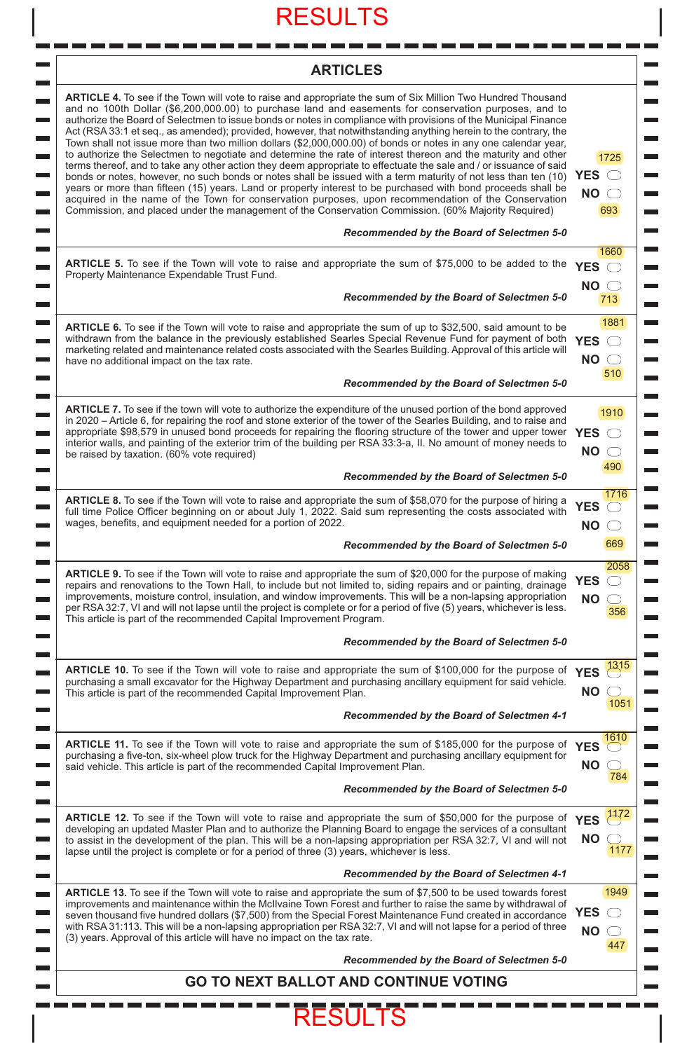# RESULTS

 $\blacksquare$ 

# **ARTICLES**

 $\overline{\phantom{0}}$ 

۳

 $\overline{\phantom{0}}$ ۰

m.

m.  $\overline{\phantom{0}}$ 

 $\overline{\phantom{0}}$ 

 $\mathcal{L}_{\mathcal{A}}$ 

 $\overline{\phantom{a}}$ 

a.

 $\overline{\phantom{0}}$ 

 $\mathcal{L}_{\mathcal{A}}$ 

 $\overline{\phantom{0}}$ 

 $\overline{\phantom{0}}$ 

m.

۰

m.

 $\mathcal{L}_{\mathcal{A}}$ 

 $\overline{\phantom{a}}$ 

 $\overline{\phantom{0}}$ 

 $\overline{\phantom{a}}$  $\overline{\phantom{0}}$ 

 $\overline{\phantom{0}}$ 

| ARTICLE 4. To see if the Town will vote to raise and appropriate the sum of Six Million Two Hundred Thousand<br>and no 100th Dollar (\$6,200,000.00) to purchase land and easements for conservation purposes, and to<br>authorize the Board of Selectmen to issue bonds or notes in compliance with provisions of the Municipal Finance<br>Act (RSA 33:1 et seq., as amended); provided, however, that notwithstanding anything herein to the contrary, the<br>Town shall not issue more than two million dollars (\$2,000,000.00) of bonds or notes in any one calendar year,<br>to authorize the Selectmen to negotiate and determine the rate of interest thereon and the maturity and other<br>terms thereof, and to take any other action they deem appropriate to effectuate the sale and / or issuance of said<br>bonds or notes, however, no such bonds or notes shall be issued with a term maturity of not less than ten (10)<br>years or more than fifteen (15) years. Land or property interest to be purchased with bond proceeds shall be<br>acquired in the name of the Town for conservation purposes, upon recommendation of the Conservation<br>Commission, and placed under the management of the Conservation Commission. (60% Majority Required)<br>Recommended by the Board of Selectmen 5-0 | 1725<br><b>YES</b><br>$NO \n\bigcirc$<br>693 |
|---------------------------------------------------------------------------------------------------------------------------------------------------------------------------------------------------------------------------------------------------------------------------------------------------------------------------------------------------------------------------------------------------------------------------------------------------------------------------------------------------------------------------------------------------------------------------------------------------------------------------------------------------------------------------------------------------------------------------------------------------------------------------------------------------------------------------------------------------------------------------------------------------------------------------------------------------------------------------------------------------------------------------------------------------------------------------------------------------------------------------------------------------------------------------------------------------------------------------------------------------------------------------------------------------------------------|----------------------------------------------|
|                                                                                                                                                                                                                                                                                                                                                                                                                                                                                                                                                                                                                                                                                                                                                                                                                                                                                                                                                                                                                                                                                                                                                                                                                                                                                                                     | 1660                                         |
| <b>ARTICLE 5.</b> To see if the Town will vote to raise and appropriate the sum of \$75,000 to be added to the<br>Property Maintenance Expendable Trust Fund.                                                                                                                                                                                                                                                                                                                                                                                                                                                                                                                                                                                                                                                                                                                                                                                                                                                                                                                                                                                                                                                                                                                                                       | <b>YES</b><br>( )<br>$NO \n\bigcirc$         |
| Recommended by the Board of Selectmen 5-0                                                                                                                                                                                                                                                                                                                                                                                                                                                                                                                                                                                                                                                                                                                                                                                                                                                                                                                                                                                                                                                                                                                                                                                                                                                                           | 713                                          |
| <b>ARTICLE 6.</b> To see if the Town will vote to raise and appropriate the sum of up to \$32,500, said amount to be<br>withdrawn from the balance in the previously established Searles Special Revenue Fund for payment of both<br>marketing related and maintenance related costs associated with the Searles Building. Approval of this article will<br>have no additional impact on the tax rate.                                                                                                                                                                                                                                                                                                                                                                                                                                                                                                                                                                                                                                                                                                                                                                                                                                                                                                              | 1881<br><b>YES</b><br>()<br><b>NO</b><br>510 |
| Recommended by the Board of Selectmen 5-0                                                                                                                                                                                                                                                                                                                                                                                                                                                                                                                                                                                                                                                                                                                                                                                                                                                                                                                                                                                                                                                                                                                                                                                                                                                                           |                                              |
| <b>ARTICLE 7.</b> To see if the town will vote to authorize the expenditure of the unused portion of the bond approved<br>in 2020 - Article 6, for repairing the roof and stone exterior of the tower of the Searles Building, and to raise and<br>appropriate \$98,579 in unused bond proceeds for repairing the flooring structure of the tower and upper tower<br>interior walls, and painting of the exterior trim of the building per RSA 33:3-a, II. No amount of money needs to<br>be raised by taxation. (60% vote required)                                                                                                                                                                                                                                                                                                                                                                                                                                                                                                                                                                                                                                                                                                                                                                                | 1910<br><b>YES</b><br><b>NO</b>              |
| Recommended by the Board of Selectmen 5-0                                                                                                                                                                                                                                                                                                                                                                                                                                                                                                                                                                                                                                                                                                                                                                                                                                                                                                                                                                                                                                                                                                                                                                                                                                                                           | 490                                          |
| <b>ARTICLE 8.</b> To see if the Town will vote to raise and appropriate the sum of \$58,070 for the purpose of hiring a<br>full time Police Officer beginning on or about July 1, 2022. Said sum representing the costs associated with<br>wages, benefits, and equipment needed for a portion of 2022.                                                                                                                                                                                                                                                                                                                                                                                                                                                                                                                                                                                                                                                                                                                                                                                                                                                                                                                                                                                                             | 1716<br><b>YES</b><br><b>NO</b>              |
| Recommended by the Board of Selectmen 5-0                                                                                                                                                                                                                                                                                                                                                                                                                                                                                                                                                                                                                                                                                                                                                                                                                                                                                                                                                                                                                                                                                                                                                                                                                                                                           | 669                                          |
| <b>ARTICLE 9.</b> To see if the Town will vote to raise and appropriate the sum of \$20,000 for the purpose of making<br>repairs and renovations to the Town Hall, to include but not limited to, siding repairs and or painting, drainage<br>improvements, moisture control, insulation, and window improvements. This will be a non-lapsing appropriation<br>per RSA 32:7, VI and will not lapse until the project is complete or for a period of five (5) years, whichever is less.<br>This article is part of the recommended Capital Improvement Program.                                                                                                                                                                                                                                                                                                                                                                                                                                                                                                                                                                                                                                                                                                                                                      | 2058<br><b>YES</b><br><b>NO</b><br>356       |
| Recommended by the Board of Selectmen 5-0                                                                                                                                                                                                                                                                                                                                                                                                                                                                                                                                                                                                                                                                                                                                                                                                                                                                                                                                                                                                                                                                                                                                                                                                                                                                           |                                              |
| ARTICLE 10. To see if the Town will vote to raise and appropriate the sum of \$100,000 for the purpose of YES<br>purchasing a small excavator for the Highway Department and purchasing ancillary equipment for said vehicle.<br>This article is part of the recommended Capital Improvement Plan.                                                                                                                                                                                                                                                                                                                                                                                                                                                                                                                                                                                                                                                                                                                                                                                                                                                                                                                                                                                                                  | 1315<br><b>NO</b><br>1051                    |
| Recommended by the Board of Selectmen 4-1                                                                                                                                                                                                                                                                                                                                                                                                                                                                                                                                                                                                                                                                                                                                                                                                                                                                                                                                                                                                                                                                                                                                                                                                                                                                           |                                              |
| <b>ARTICLE 11.</b> To see if the Town will vote to raise and appropriate the sum of \$185,000 for the purpose of<br>purchasing a five-ton, six-wheel plow truck for the Highway Department and purchasing ancillary equipment for<br>said vehicle. This article is part of the recommended Capital Improvement Plan.                                                                                                                                                                                                                                                                                                                                                                                                                                                                                                                                                                                                                                                                                                                                                                                                                                                                                                                                                                                                | 1610<br><b>YES</b><br><b>NO</b><br>784       |
| Recommended by the Board of Selectmen 5-0                                                                                                                                                                                                                                                                                                                                                                                                                                                                                                                                                                                                                                                                                                                                                                                                                                                                                                                                                                                                                                                                                                                                                                                                                                                                           |                                              |
| <b>ARTICLE 12.</b> To see if the Town will vote to raise and appropriate the sum of \$50,000 for the purpose of<br>developing an updated Master Plan and to authorize the Planning Board to engage the services of a consultant<br>to assist in the development of the plan. This will be a non-lapsing appropriation per RSA 32:7, VI and will not<br>lapse until the project is complete or for a period of three (3) years, whichever is less.                                                                                                                                                                                                                                                                                                                                                                                                                                                                                                                                                                                                                                                                                                                                                                                                                                                                   | 1172<br><b>YES</b><br><b>NO</b><br>1177      |
| Recommended by the Board of Selectmen 4-1                                                                                                                                                                                                                                                                                                                                                                                                                                                                                                                                                                                                                                                                                                                                                                                                                                                                                                                                                                                                                                                                                                                                                                                                                                                                           |                                              |
| <b>ARTICLE 13.</b> To see if the Town will vote to raise and appropriate the sum of \$7,500 to be used towards forest<br>improvements and maintenance within the McIlvaine Town Forest and further to raise the same by withdrawal of<br>seven thousand five hundred dollars (\$7,500) from the Special Forest Maintenance Fund created in accordance<br>with RSA 31:113. This will be a non-lapsing appropriation per RSA 32:7, VI and will not lapse for a period of three                                                                                                                                                                                                                                                                                                                                                                                                                                                                                                                                                                                                                                                                                                                                                                                                                                        | 1949<br><b>YES</b><br><b>NO</b><br>447       |
| (3) years. Approval of this article will have no impact on the tax rate.                                                                                                                                                                                                                                                                                                                                                                                                                                                                                                                                                                                                                                                                                                                                                                                                                                                                                                                                                                                                                                                                                                                                                                                                                                            |                                              |
| Recommended by the Board of Selectmen 5-0                                                                                                                                                                                                                                                                                                                                                                                                                                                                                                                                                                                                                                                                                                                                                                                                                                                                                                                                                                                                                                                                                                                                                                                                                                                                           |                                              |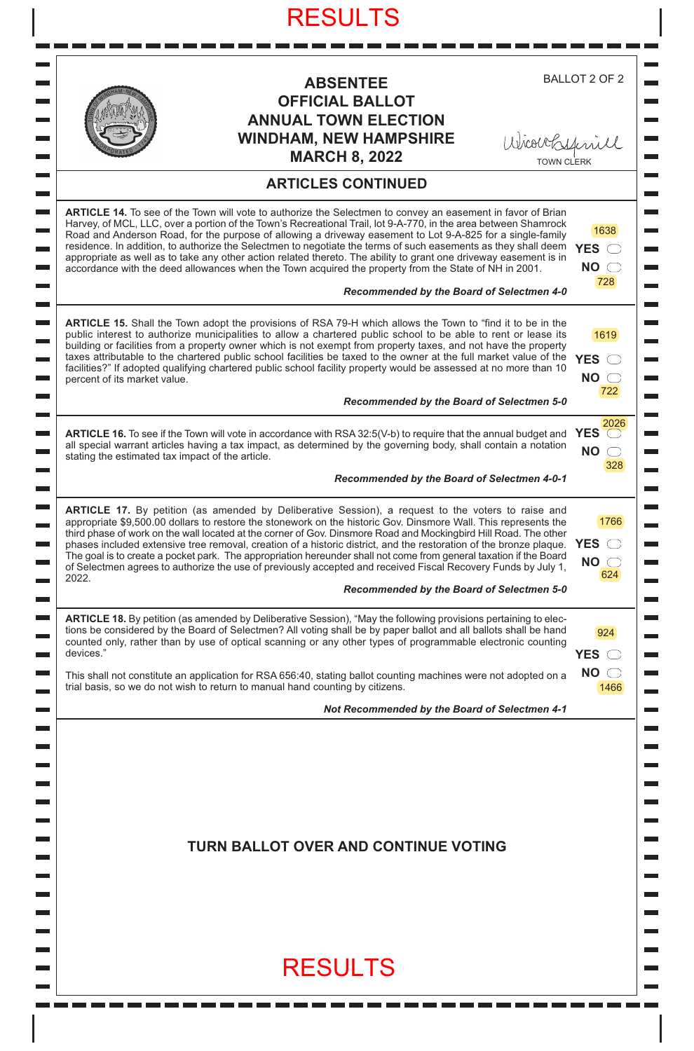| <b>ABSENTEE</b>                                                                                                                                                                                                                                                                                                                                                                                                                                                                                                                                                                                                                                                                                                                                                     | <b>BALLOT 2 OF 2</b>                               |
|---------------------------------------------------------------------------------------------------------------------------------------------------------------------------------------------------------------------------------------------------------------------------------------------------------------------------------------------------------------------------------------------------------------------------------------------------------------------------------------------------------------------------------------------------------------------------------------------------------------------------------------------------------------------------------------------------------------------------------------------------------------------|----------------------------------------------------|
| <b>OFFICIAL BALLOT</b>                                                                                                                                                                                                                                                                                                                                                                                                                                                                                                                                                                                                                                                                                                                                              |                                                    |
| <b>ANNUAL TOWN ELECTION</b>                                                                                                                                                                                                                                                                                                                                                                                                                                                                                                                                                                                                                                                                                                                                         |                                                    |
| <b>WINDHAM, NEW HAMPSHIRE</b>                                                                                                                                                                                                                                                                                                                                                                                                                                                                                                                                                                                                                                                                                                                                       |                                                    |
| Wicouckynill<br><b>MARCH 8, 2022</b>                                                                                                                                                                                                                                                                                                                                                                                                                                                                                                                                                                                                                                                                                                                                |                                                    |
| <b>ARTICLES CONTINUED</b>                                                                                                                                                                                                                                                                                                                                                                                                                                                                                                                                                                                                                                                                                                                                           |                                                    |
| ARTICLE 14. To see of the Town will vote to authorize the Selectmen to convey an easement in favor of Brian<br>Harvey, of MCL, LLC, over a portion of the Town's Recreational Trail, lot 9-A-770, in the area between Shamrock<br>Road and Anderson Road, for the purpose of allowing a driveway easement to Lot 9-A-825 for a single-family<br>residence. In addition, to authorize the Selectmen to negotiate the terms of such easements as they shall deem YES<br>appropriate as well as to take any other action related thereto. The ability to grant one driveway easement is in<br>accordance with the deed allowances when the Town acquired the property from the State of NH in 2001.                                                                    | 1638<br>NO <sub>o</sub><br>728                     |
| Recommended by the Board of Selectmen 4-0                                                                                                                                                                                                                                                                                                                                                                                                                                                                                                                                                                                                                                                                                                                           |                                                    |
| <b>ARTICLE 15.</b> Shall the Town adopt the provisions of RSA 79-H which allows the Town to "find it to be in the<br>public interest to authorize municipalities to allow a chartered public school to be able to rent or lease its<br>building or facilities from a property owner which is not exempt from property taxes, and not have the property<br>taxes attributable to the chartered public school facilities be taxed to the owner at the full market value of the<br>facilities?" If adopted qualifying chartered public school facility property would be assessed at no more than 10<br>percent of its market value.                                                                                                                                   | 1619<br>$YES$ $\bigcirc$<br>$NO \n\bigcirc$<br>722 |
| Recommended by the Board of Selectmen 5-0                                                                                                                                                                                                                                                                                                                                                                                                                                                                                                                                                                                                                                                                                                                           |                                                    |
| <b>ARTICLE 16.</b> To see if the Town will vote in accordance with RSA 32:5(V-b) to require that the annual budget and YES<br>all special warrant articles having a tax impact, as determined by the governing body, shall contain a notation<br>stating the estimated tax impact of the article.                                                                                                                                                                                                                                                                                                                                                                                                                                                                   | 2026<br><b>NO</b><br>328                           |
| Recommended by the Board of Selectmen 4-0-1                                                                                                                                                                                                                                                                                                                                                                                                                                                                                                                                                                                                                                                                                                                         |                                                    |
| <b>ARTICLE 17.</b> By petition (as amended by Deliberative Session), a request to the voters to raise and<br>appropriate \$9,500.00 dollars to restore the stonework on the historic Gov. Dinsmore Wall. This represents the<br>third phase of work on the wall located at the corner of Gov. Dinsmore Road and Mockingbird Hill Road. The other<br>phases included extensive tree removal, creation of a historic district, and the restoration of the bronze plaque.<br>The goal is to create a pocket park. The appropriation hereunder shall not come from general taxation if the Board<br>of Selectmen agrees to authorize the use of previously accepted and received Fiscal Recovery Funds by July 1,<br>2022.<br>Recommended by the Board of Selectmen 5-0 | 1766<br><b>YES</b><br>$NO \subset$<br>624          |
| ARTICLE 18. By petition (as amended by Deliberative Session), "May the following provisions pertaining to elec-<br>tions be considered by the Board of Selectmen? All voting shall be by paper ballot and all ballots shall be hand<br>counted only, rather than by use of optical scanning or any other types of programmable electronic counting<br>devices."                                                                                                                                                                                                                                                                                                                                                                                                     | 924<br><b>YES</b>                                  |
| This shall not constitute an application for RSA 656:40, stating ballot counting machines were not adopted on a<br>trial basis, so we do not wish to return to manual hand counting by citizens.                                                                                                                                                                                                                                                                                                                                                                                                                                                                                                                                                                    | $NO \n\bigcirc$<br>1466                            |
| Not Recommended by the Board of Selectmen 4-1                                                                                                                                                                                                                                                                                                                                                                                                                                                                                                                                                                                                                                                                                                                       |                                                    |
| <b>TURN BALLOT OVER AND CONTINUE VOTING</b>                                                                                                                                                                                                                                                                                                                                                                                                                                                                                                                                                                                                                                                                                                                         |                                                    |
| <b>RESULTS</b>                                                                                                                                                                                                                                                                                                                                                                                                                                                                                                                                                                                                                                                                                                                                                      |                                                    |

 $\overline{\phantom{a}}$ 

I

I